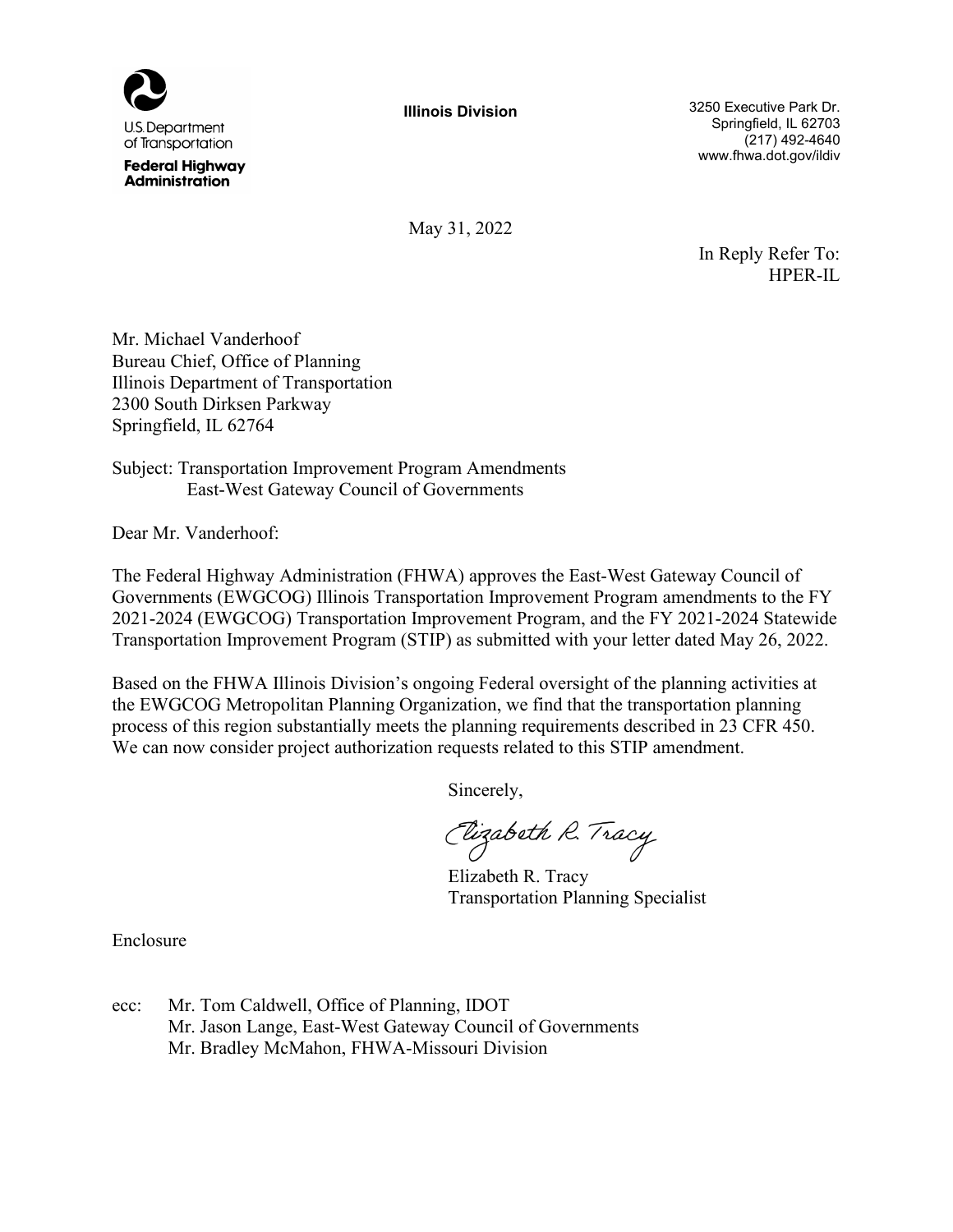

**Federal Highway Administration** 

**Illinois Division**

3250 Executive Park Dr. Springfield, IL 62703 (217) 492-4640 www.fhwa.dot.gov/ildiv

May 31, 2022

In Reply Refer To: HPER-IL

Mr. Michael Vanderhoof Bureau Chief, Office of Planning Illinois Department of Transportation 2300 South Dirksen Parkway Springfield, IL 62764

Subject: Transportation Improvement Program Amendments East-West Gateway Council of Governments

Dear Mr. Vanderhoof:

The Federal Highway Administration (FHWA) approves the East-West Gateway Council of Governments (EWGCOG) Illinois Transportation Improvement Program amendments to the FY 2021-2024 (EWGCOG) Transportation Improvement Program, and the FY 2021-2024 Statewide Transportation Improvement Program (STIP) as submitted with your letter dated May 26, 2022.

Based on the FHWA Illinois Division's ongoing Federal oversight of the planning activities at the EWGCOG Metropolitan Planning Organization, we find that the transportation planning process of this region substantially meets the planning requirements described in 23 CFR 450. We can now consider project authorization requests related to this STIP amendment.

Sincerely,

Elizabeth R. Tracy

Elizabeth R. Tracy Transportation Planning Specialist

Enclosure

ecc: Mr. Tom Caldwell, Office of Planning, IDOT Mr. Jason Lange, East-West Gateway Council of Governments Mr. Bradley McMahon, FHWA-Missouri Division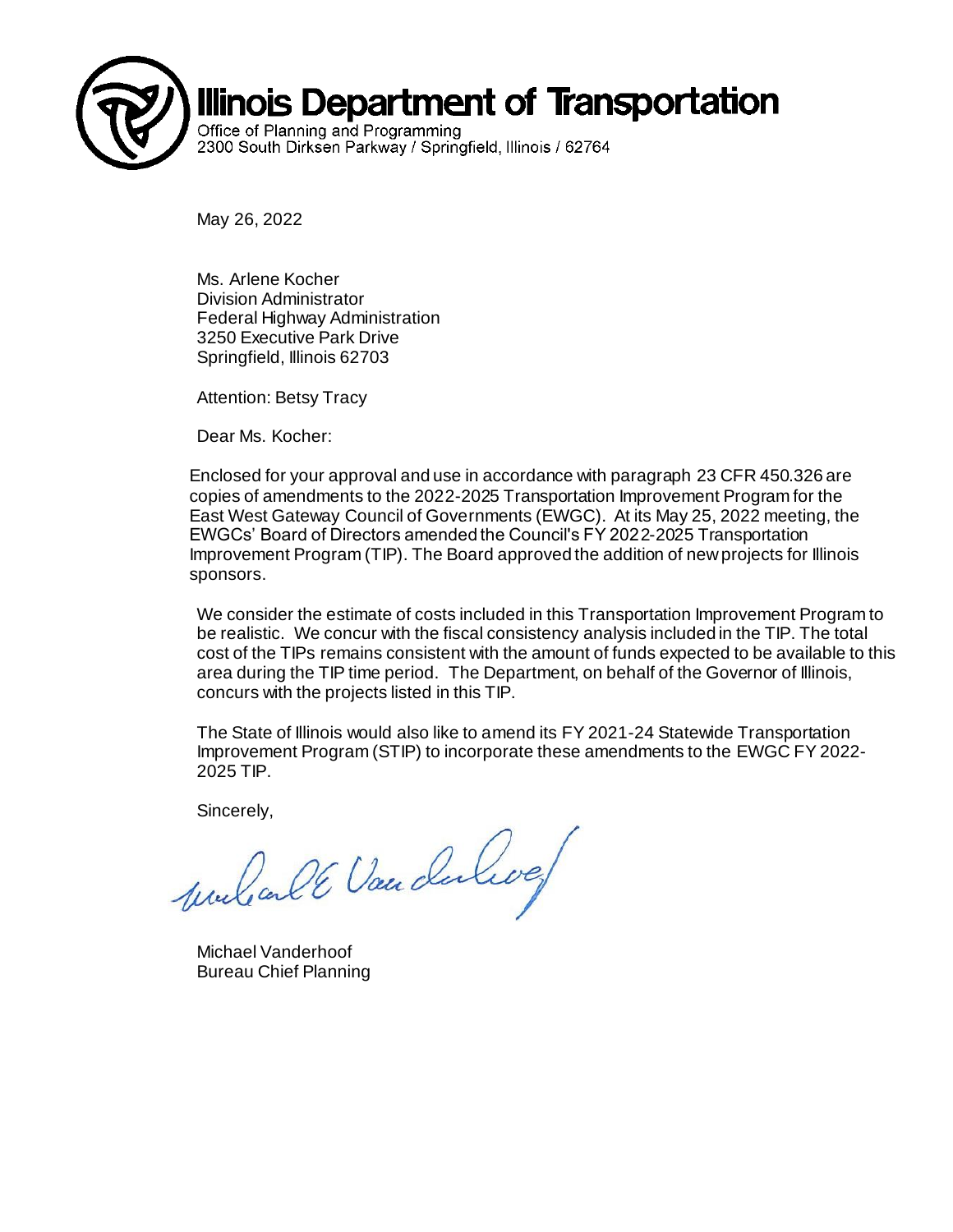

May 26, 2022

Ms. Arlene Kocher Division Administrator Federal Highway Administration 3250 Executive Park Drive Springfield, Illinois 62703

Attention: Betsy Tracy

Dear Ms. Kocher:

Enclosed for your approval and use in accordance with paragraph 23 CFR 450.326 are copies of amendments to the 2022-2025 Transportation Improvement Program for the East West Gateway Council of Governments (EWGC). At its May 25, 2022 meeting, the EWGCs' Board of Directors amended the Council's FY 2022-2025 Transportation Improvement Program (TIP). The Board approved the addition of new projects for Illinois sponsors.

We consider the estimate of costs included in this Transportation Improvement Program to be realistic. We concur with the fiscal consistency analysis included in the TIP. The total cost of the TIPs remains consistent with the amount of funds expected to be available to this area during the TIP time period. The Department, on behalf of the Governor of Illinois, concurs with the projects listed in this TIP.

The State of Illinois would also like to amend its FY 2021-24 Statewide Transportation Improvement Program (STIP) to incorporate these amendments to the EWGC FY 2022- 2025 TIP.

Sincerely,

mulanté Van dulive

Michael Vanderhoof Bureau Chief Planning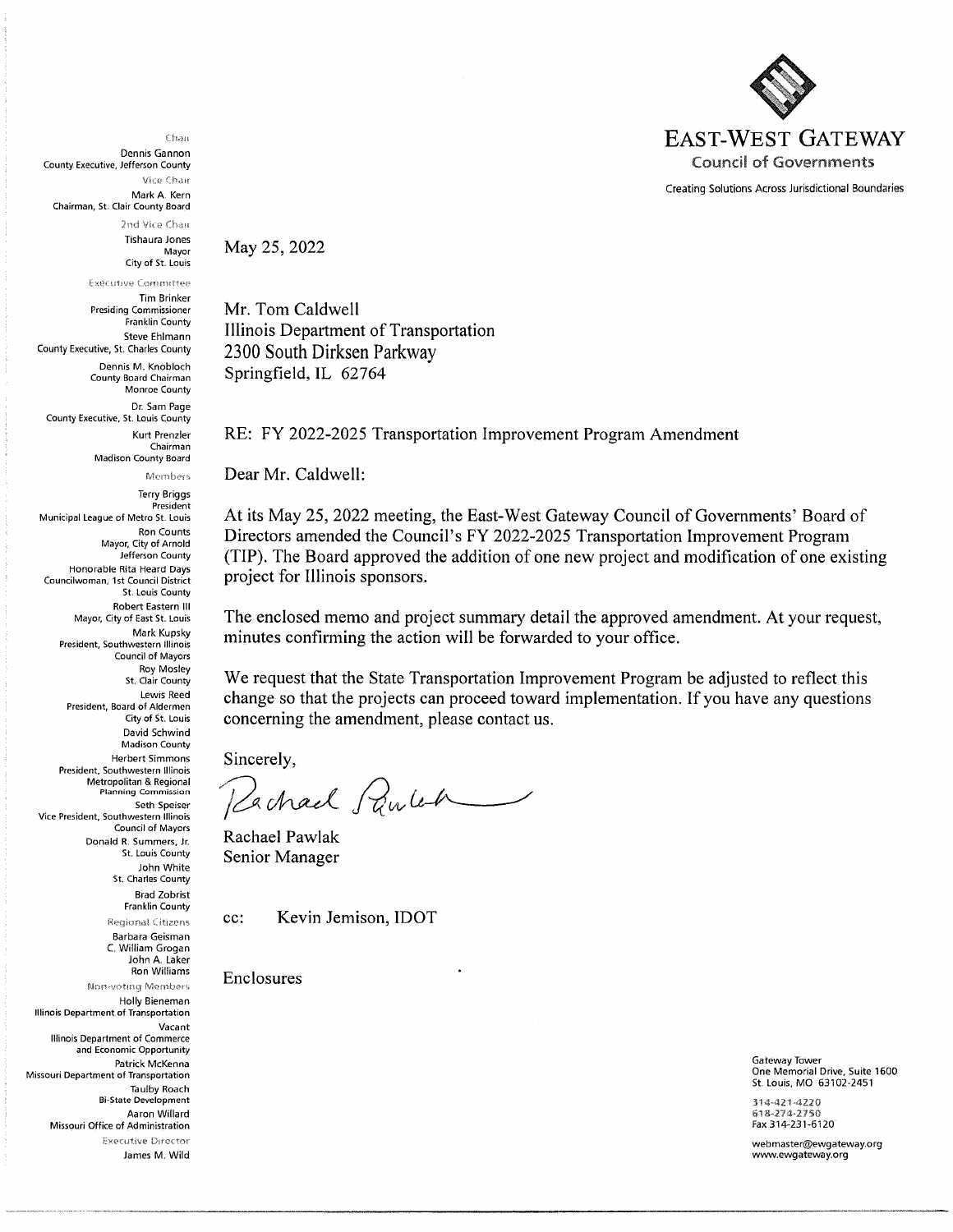

Creating Solutions Across Jurisdictional Boundaries

Chau

Dennis Gannon County Executive, Jefferson County Vice Chair Mark A. Kern

Chairman, St. Clair County Board

2nd Vice Chair **Tishaura Jones** 

Mayor City of St. Louis

**Executive Committee Tim Brinker Presiding Commissioner** Franklin County **Steve Ehlmann** County Executive, St. Charles County Dennis M. Knobloch

County Board Chairman Monroe County Dr. Sam Page County Executive, St. Louis County Kurt Prenzler Chairman

Madison County Board

Members

**Terry Briggs** President Municipal League of Metro St. Louis **Ron Counts** Mayor, City of Arnold Jefferson County Honorable Rita Heard Days Councilwoman, 1st Council District St. Louis County **Robert Fastern III** Mayor, City of East St. Louis Mark Kupsky President, Southwestern Illinois Council of Mayors Roy Mosley St. Clair County Lewis Reed President, Board of Aldermen City of St. Louis David Schwind **Madison County Herbert Simmons** President, Southwestern Illinois Metropolitan & Regional **Planning Commission** Seth Speiser Vice President, Southwestern Illinois Council of Mayors Donald R. Summers, Jr. St. Louis County John White St. Charles County **Brad Zobrist Franklin County Regional Citizens** Barbara Geisman C. William Grogan John A Taker Ron Williams Non-voting Members

Holly Bieneman Illinois Department of Transportation Vacant Illinois Department of Commerce and Economic Opportunity Patrick McKenna Missouri Department of Transportation **Taulby Roach Bi-State Development** Aaron Willard Missouri Office of Administration Executive Director James M. Wild May 25, 2022

Mr. Tom Caldwell Illinois Department of Transportation 2300 South Dirksen Parkway Springfield, IL 62764

RE: FY 2022-2025 Transportation Improvement Program Amendment

Dear Mr. Caldwell:

At its May 25, 2022 meeting, the East-West Gateway Council of Governments' Board of Directors amended the Council's FY 2022-2025 Transportation Improvement Program (TIP). The Board approved the addition of one new project and modification of one existing project for Illinois sponsors.

The enclosed memo and project summary detail the approved amendment. At your request, minutes confirming the action will be forwarded to your office.

We request that the State Transportation Improvement Program be adjusted to reflect this change so that the projects can proceed toward implementation. If you have any questions concerning the amendment, please contact us.

Sincerely,

Pachael Paulen

Rachael Pawlak Senior Manager

cc:

Kevin Jemison, IDOT

Enclosures

Gateway Tower One Memorial Drive, Suite 1600 St. Louis, MO 63102-2451

314-421-4220 618-274-2750 Fax 314-231-6120

webmaster@ewgateway.org www.ewgateway.org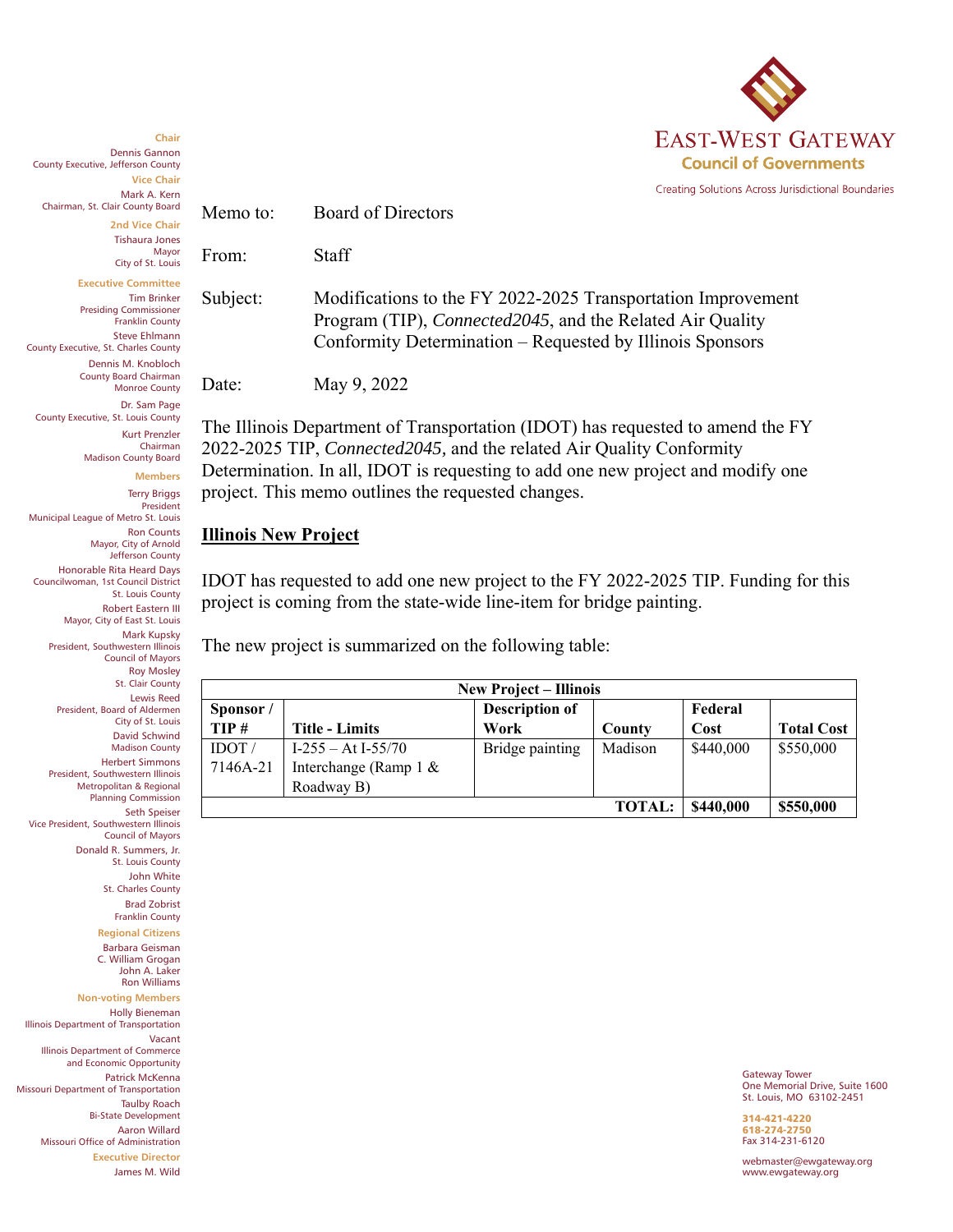

Creating Solutions Across Jurisdictional Boundaries

Dennis Gannon County Executive, Jefferson County **Vice Chair** Mark A. Kern Chairman, St. Clair County Board **2nd Vice Chair**

Memo to: Board of Directors

Tishaura Jones Mayor

**Chair**

City of St. Louis

**Executive Committee** Tim Brinker Presiding Commissioner Franklin County Steve Ehlmann County Executive, St. Charles County Dennis M. Knobloch

County Executive, St. Louis County

Municipal League of Metro St. Louis

Dr. Sam Page

Kurt Prenzler Chairman Madison County Board

> **Members** Terry Briggs President

County Board Chairman Monroe County

Date: May 9, 2022

The Illinois Department of Transportation (IDOT) has requested to amend the FY 2022-2025 TIP, *Connected2045,* and the related Air Quality Conformity Determination. In all, IDOT is requesting to add one new project and modify one project. This memo outlines the requested changes.

Subject: Modifications to the FY 2022-2025 Transportation Improvement

Program (TIP), *Connected2045*, and the Related Air Quality Conformity Determination – Requested by Illinois Sponsors

## **Illinois New Project**

From: Staff

IDOT has requested to add one new project to the FY 2022-2025 TIP. Funding for this project is coming from the state-wide line-item for bridge painting.

The new project is summarized on the following table:

| <b>New Project – Illinois</b> |                          |                       |           |           |                   |  |
|-------------------------------|--------------------------|-----------------------|-----------|-----------|-------------------|--|
| Sponsor/                      |                          | <b>Description of</b> |           | Federal   |                   |  |
| TIP#                          | <b>Title - Limits</b>    | Work                  | County    | Cost      | <b>Total Cost</b> |  |
| IDOT                          | $I-255 - At I-55/70$     | Bridge painting       | Madison   | \$440,000 | \$550,000         |  |
| 7146A-21                      | Interchange (Ramp $1 \&$ |                       |           |           |                   |  |
|                               | Roadway B)               |                       |           |           |                   |  |
|                               |                          | \$440,000             | \$550,000 |           |                   |  |

Gateway Tower One Memorial Drive, Suite 1600 St. Louis, MO 63102-2451

314-421-4220 618-274-2750 Fax 314-231-6120

webmaster@ewgateway.org www.ewgateway.org

Ron Counts Mayor, City of Arnold Jefferson County Honorable Rita Heard Days Councilwoman, 1st Council District St. Louis County Robert Eastern III Mayor, City of East St. Louis Mark Kupsky President, Southwestern Illinois Council of Mayors Roy Mosley St. Clair County Lewis Reed President, Board of Aldermen City of St. Louis David Schwind Madison County Herbert Simmons President, Southwestern Illinois Metropolitan & Regional Planning Commission Seth Speiser Vice President, Southwestern Illinois Council of Mayors Donald R. Summers, Jr. St. Louis County John White St. Charles County Brad Zobrist Franklin County **Regional Citizens** Barbara Geisman C. William Grogan John A. Laker

Ron Williams **Non-voting Members** Holly Bieneman Illinois Department of Transportation Vacant Illinois Department of Commerce and Economic Opportunity Patrick McKenna

Missouri Department of Transportation Taulby Roach

Bi-State Development Aaron Willard

Missouri Office of Administration **Executive Director**

James M. Wild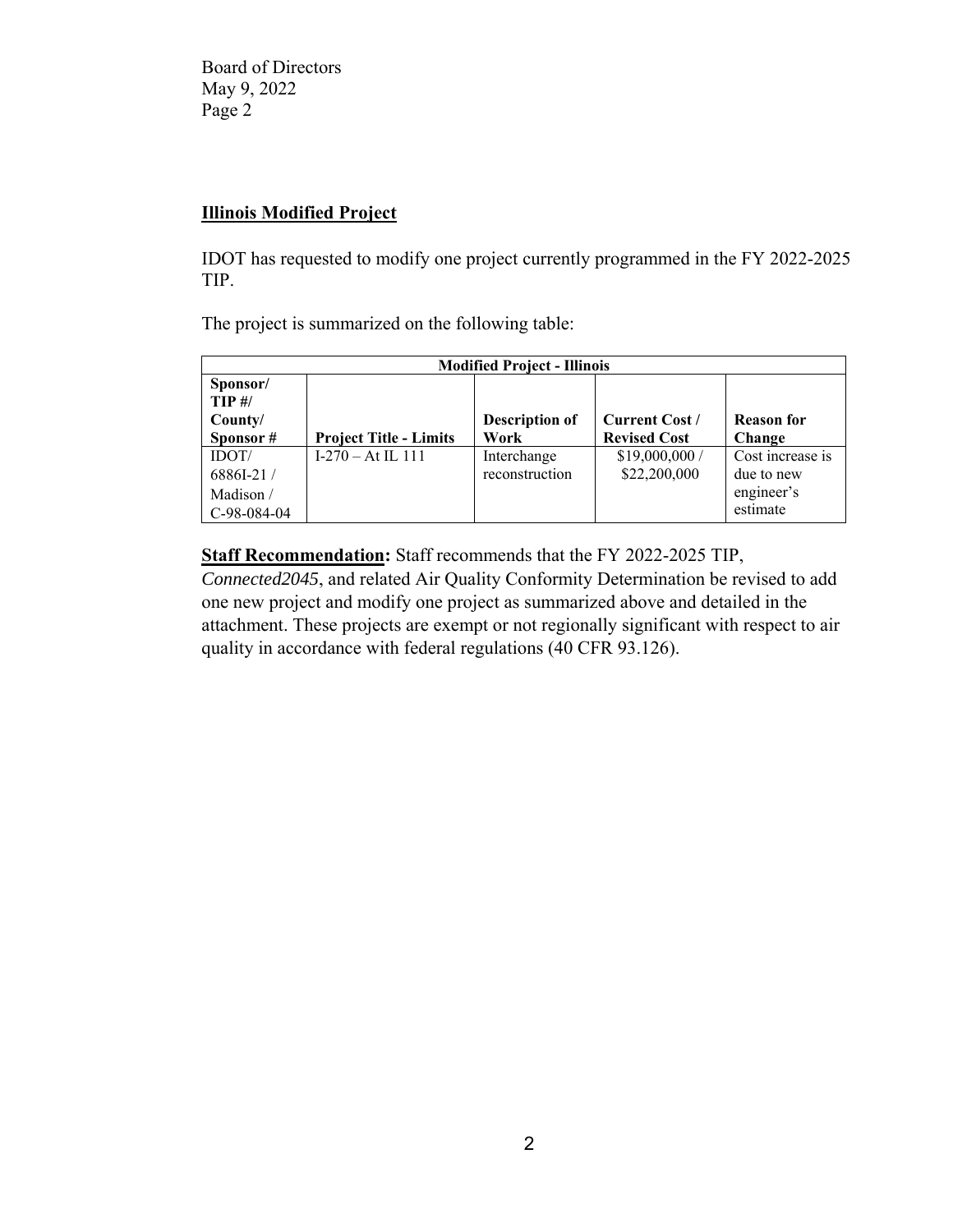Board of Directors May 9, 2022 Page 2

## **Illinois Modified Project**

IDOT has requested to modify one project currently programmed in the FY 2022-2025 TIP.

The project is summarized on the following table:

| <b>Modified Project - Illinois</b> |                               |                       |                       |                   |  |  |  |
|------------------------------------|-------------------------------|-----------------------|-----------------------|-------------------|--|--|--|
| Sponsor/                           |                               |                       |                       |                   |  |  |  |
| $TIP$ #/                           |                               |                       |                       |                   |  |  |  |
| County/                            |                               | <b>Description of</b> | <b>Current Cost /</b> | <b>Reason for</b> |  |  |  |
| Sponsor#                           | <b>Project Title - Limits</b> | Work                  | <b>Revised Cost</b>   | Change            |  |  |  |
| IDOT/                              | $I-270 - At IL 111$           | Interchange           | \$19,000,000/         | Cost increase is  |  |  |  |
| 6886I-21/                          |                               | reconstruction        | \$22,200,000          | due to new        |  |  |  |
| Madison /                          |                               |                       |                       | engineer's        |  |  |  |
| C-98-084-04                        |                               |                       |                       | estimate          |  |  |  |

**Staff Recommendation:** Staff recommends that the FY 2022-2025 TIP,

*Connected2045*, and related Air Quality Conformity Determination be revised to add one new project and modify one project as summarized above and detailed in the attachment. These projects are exempt or not regionally significant with respect to air quality in accordance with federal regulations (40 CFR 93.126).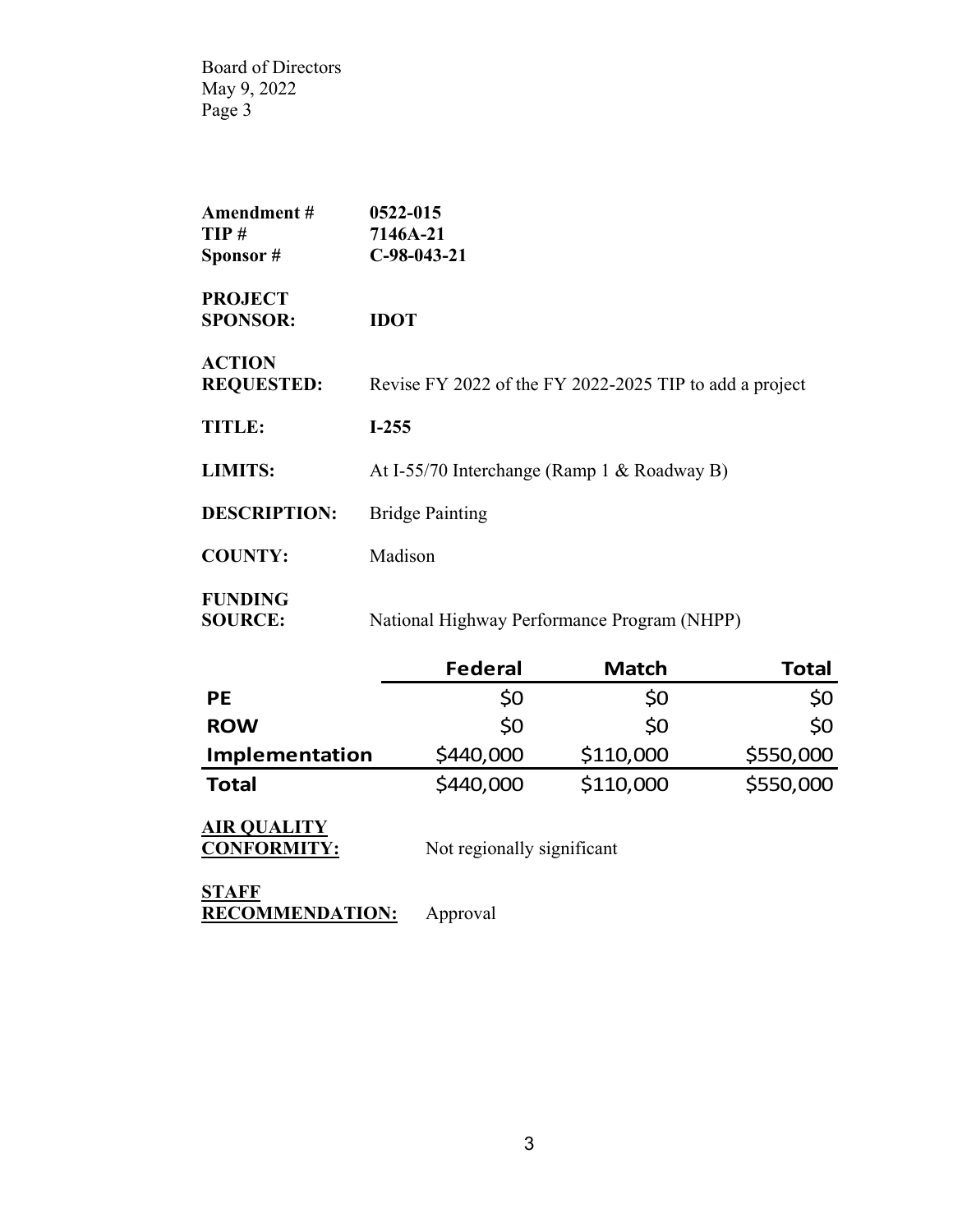Board of Directors May 9, 2022 Page 3

| Amendment#<br>TIP#<br>Sponsor#     | 0522-015<br>7146A-21<br>$C-98-043-21$                   |
|------------------------------------|---------------------------------------------------------|
| <b>PROJECT</b><br><b>SPONSOR:</b>  | <b>IDOT</b>                                             |
| <b>ACTION</b><br><b>REQUESTED:</b> | Revise FY 2022 of the FY 2022-2025 TIP to add a project |
| <b>TITLE:</b>                      | $I-255$                                                 |
| <b>LIMITS:</b>                     | At I-55/70 Interchange (Ramp 1 & Roadway B)             |
| <b>DESCRIPTION:</b>                | <b>Bridge Painting</b>                                  |
| <b>COUNTY:</b>                     | Madison                                                 |
| <b>FUNDING</b><br><b>SOURCE:</b>   | National Highway Performance Program (NHPP)             |

|                       | <b>Federal</b> | <b>Match</b> | Total     |
|-----------------------|----------------|--------------|-----------|
| <b>PE</b>             | \$0            | \$0          | \$0       |
| <b>ROW</b>            | \$0            | \$0          | \$0       |
| <b>Implementation</b> | \$440,000      | \$110,000    | \$550,000 |
| <b>Total</b>          | \$440,000      | \$110,000    | \$550,000 |

**AIR QUALITY**

**CONFORMITY:** Not regionally significant

**STAFF RECOMMENDATION:** Approval